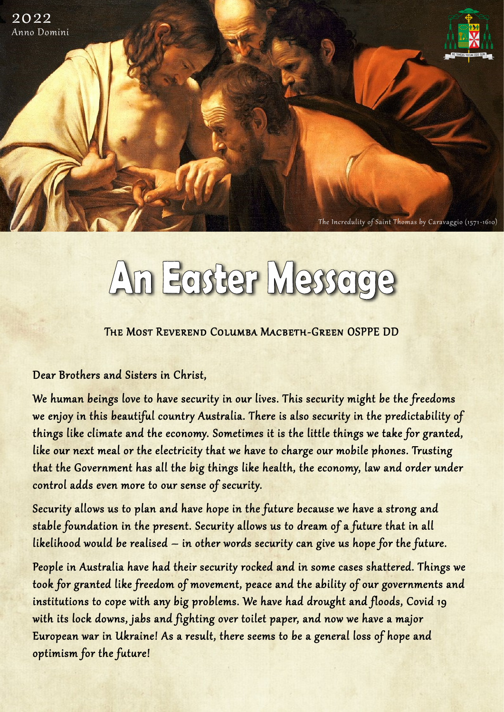

## An Easter Message

The Most Reverend Columba Macbeth-Green OSPPE DD

Dear Brothers and Sisters in Christ,

2022 Anno Domini

> We human beings love to have security in our lives. This security might be the freedoms we enjoy in this beautiful country Australia. There is also security in the predictability of things like climate and the economy. Sometimes it is the little things we take for granted, like our next meal or the electricity that we have to charge our mobile phones. Trusting that the Government has all the big things like health, the economy, law and order under control adds even more to our sense of security.

Security allows us to plan and have hope in the future because we have a strong and stable foundation in the present. Security allows us to dream of a future that in all likelihood would be realised – in other words security can give us hope for the future.

People in Australia have had their security rocked and in some cases shattered. Things we took for granted like freedom of movement, peace and the ability of our governments and institutions to cope with any big problems. We have had drought and floods, Covid 19 with its lock downs, jabs and fighting over toilet paper, and now we have a major European war in Ukraine! As a result, there seems to be a general loss of hope and optimism for the future!